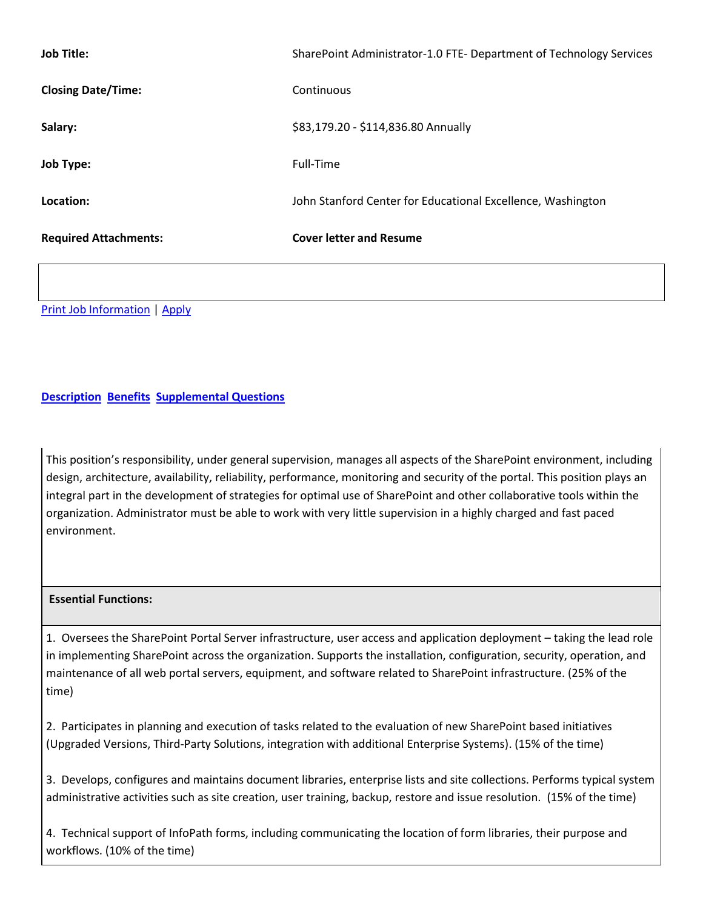| <b>Job Title:</b>            | SharePoint Administrator-1.0 FTE- Department of Technology Services |
|------------------------------|---------------------------------------------------------------------|
| <b>Closing Date/Time:</b>    | Continuous                                                          |
| Salary:                      | \$83,179.20 - \$114,836.80 Annually                                 |
| <b>Job Type:</b>             | Full-Time                                                           |
| Location:                    | John Stanford Center for Educational Excellence, Washington         |
| <b>Required Attachments:</b> | <b>Cover letter and Resume</b>                                      |

[Print Job Information](http://agency.governmentjobs.com/seattleschools/job_bulletin.cfm?JobID=968052) | [Apply](https://www.governmentjobs.com/jobs/968052/SharePoint%20Administrator10%20FTE%20Department%20of%20Technology%20Services/Agency/seattleschools/apply)

# **[Description](http://agency.governmentjobs.com/seattleschools/default.cfm?action=viewjob&JobID=968052&headerfooter=1&promo=0&transfer=0&WDDXJobSearchParams=%3CwddxPacket%20version%3D%271%2E0%27%3E%3Cheader%2F%3E%3Cdata%3E%3Cstruct%3E%3Cvar%20name%3D%27CATEGORYID%27%3E%3Cstring%3E1%2C2%2C107%2C140%2C5%2C127%2C81%2C46%2C144%2C154%2C170%2C16%2C18%2C19%2C21%2C69%2C42%2C134%2C148%2C48%2C56%2C24%2C136%2C137%2C33%2C149%2C122%2C139%2C36%3C%2Fstring%3E%3C%2Fvar%3E%3Cvar%20name%3D%27PROMOTIONALJOBS%27%3E%3Cstring%3E0%3C%2Fstring%3E%3C%2Fvar%3E%3Cvar%20name%3D%27TRANSFER%27%3E%3Cstring%3E0%3C%2Fstring%3E%3C%2Fvar%3E%3Cvar%20name%3D%27FIND%5FKEYWORD%27%3E%3Cstring%3ESharePoint%20Administrator%3C%2Fstring%3E%3C%2Fvar%3E%3C%2Fstruct%3E%3C%2Fdata%3E%3C%2FwddxPacket%3E) [Benefits](http://agency.governmentjobs.com/seattleschools/default.cfm?action=viewjob&JobID=968052&ViewBenefits=Yes&headerfooter=1&promo=0&transfer=0&WDDXJobSearchParams=%3CwddxPacket%20version%3D%271%2E0%27%3E%3Cheader%2F%3E%3Cdata%3E%3Cstruct%3E%3Cvar%20name%3D%27CATEGORYID%27%3E%3Cstring%3E1%2C2%2C107%2C140%2C5%2C127%2C81%2C46%2C144%2C154%2C170%2C16%2C18%2C19%2C21%2C69%2C42%2C134%2C148%2C48%2C56%2C24%2C136%2C137%2C33%2C149%2C122%2C139%2C36%3C%2Fstring%3E%3C%2Fvar%3E%3Cvar%20name%3D%27PROMOTIONALJOBS%27%3E%3Cstring%3E0%3C%2Fstring%3E%3C%2Fvar%3E%3Cvar%20name%3D%27TRANSFER%27%3E%3Cstring%3E0%3C%2Fstring%3E%3C%2Fvar%3E%3Cvar%20name%3D%27FIND%5FKEYWORD%27%3E%3Cstring%3ESharePoint%20Administrator%3C%2Fstring%3E%3C%2Fvar%3E%3C%2Fstruct%3E%3C%2Fdata%3E%3C%2FwddxPacket%3E) [Supplemental Questions](http://agency.governmentjobs.com/seattleschools/default.cfm?action=viewjob&JobID=968052&ViewSupp=Yes&headerfooter=1&promo=0&transfer=0&WDDXJobSearchParams=%3CwddxPacket%20version%3D%271%2E0%27%3E%3Cheader%2F%3E%3Cdata%3E%3Cstruct%3E%3Cvar%20name%3D%27CATEGORYID%27%3E%3Cstring%3E1%2C2%2C107%2C140%2C5%2C127%2C81%2C46%2C144%2C154%2C170%2C16%2C18%2C19%2C21%2C69%2C42%2C134%2C148%2C48%2C56%2C24%2C136%2C137%2C33%2C149%2C122%2C139%2C36%3C%2Fstring%3E%3C%2Fvar%3E%3Cvar%20name%3D%27PROMOTIONALJOBS%27%3E%3Cstring%3E0%3C%2Fstring%3E%3C%2Fvar%3E%3Cvar%20name%3D%27TRANSFER%27%3E%3Cstring%3E0%3C%2Fstring%3E%3C%2Fvar%3E%3Cvar%20name%3D%27FIND%5FKEYWORD%27%3E%3Cstring%3ESharePoint%20Administrator%3C%2Fstring%3E%3C%2Fvar%3E%3C%2Fstruct%3E%3C%2Fdata%3E%3C%2FwddxPacket%3E)**

This position's responsibility, under general supervision, manages all aspects of the SharePoint environment, including design, architecture, availability, reliability, performance, monitoring and security of the portal. This position plays an integral part in the development of strategies for optimal use of SharePoint and other collaborative tools within the organization. Administrator must be able to work with very little supervision in a highly charged and fast paced environment.

# **Essential Functions:**

1. Oversees the SharePoint Portal Server infrastructure, user access and application deployment – taking the lead role in implementing SharePoint across the organization. Supports the installation, configuration, security, operation, and maintenance of all web portal servers, equipment, and software related to SharePoint infrastructure. (25% of the time)

2. Participates in planning and execution of tasks related to the evaluation of new SharePoint based initiatives (Upgraded Versions, Third-Party Solutions, integration with additional Enterprise Systems). (15% of the time)

3. Develops, configures and maintains document libraries, enterprise lists and site collections. Performs typical system administrative activities such as site creation, user training, backup, restore and issue resolution. (15% of the time)

4. Technical support of InfoPath forms, including communicating the location of form libraries, their purpose and workflows. (10% of the time)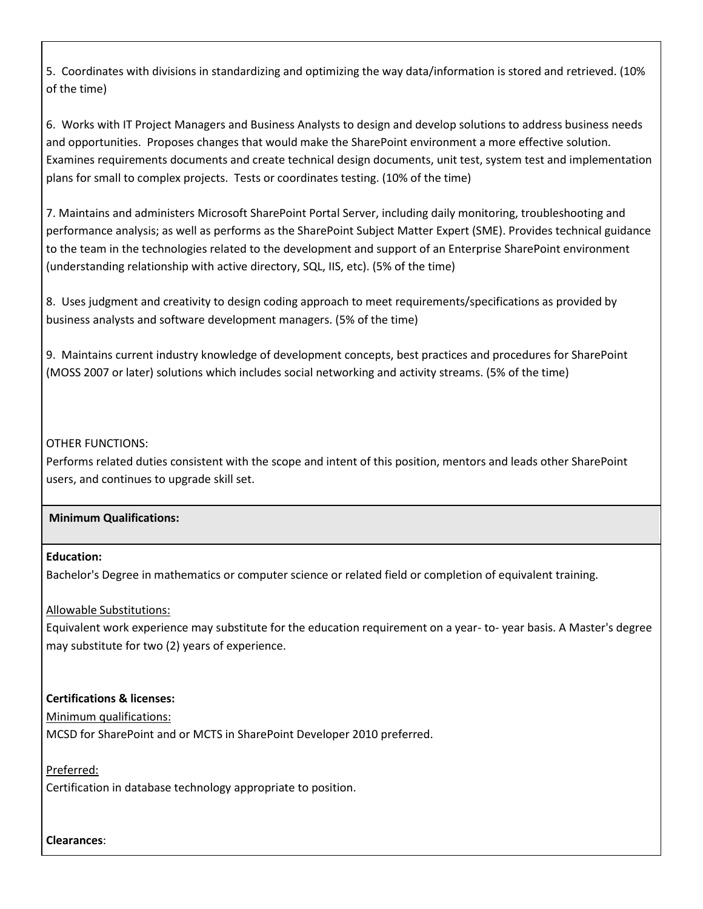5. Coordinates with divisions in standardizing and optimizing the way data/information is stored and retrieved. (10% of the time)

6. Works with IT Project Managers and Business Analysts to design and develop solutions to address business needs and opportunities. Proposes changes that would make the SharePoint environment a more effective solution. Examines requirements documents and create technical design documents, unit test, system test and implementation plans for small to complex projects. Tests or coordinates testing. (10% of the time)

7. Maintains and administers Microsoft SharePoint Portal Server, including daily monitoring, troubleshooting and performance analysis; as well as performs as the SharePoint Subject Matter Expert (SME). Provides technical guidance to the team in the technologies related to the development and support of an Enterprise SharePoint environment (understanding relationship with active directory, SQL, IIS, etc). (5% of the time)

8. Uses judgment and creativity to design coding approach to meet requirements/specifications as provided by business analysts and software development managers. (5% of the time)

9. Maintains current industry knowledge of development concepts, best practices and procedures for SharePoint (MOSS 2007 or later) solutions which includes social networking and activity streams. (5% of the time)

# OTHER FUNCTIONS:

Performs related duties consistent with the scope and intent of this position, mentors and leads other SharePoint users, and continues to upgrade skill set.

### **Minimum Qualifications:**

### **Education:**

Bachelor's Degree in mathematics or computer science or related field or completion of equivalent training.

### Allowable Substitutions:

Equivalent work experience may substitute for the education requirement on a year- to- year basis. A Master's degree may substitute for two (2) years of experience.

# **Certifications & licenses:**

### Minimum qualifications:

MCSD for SharePoint and or MCTS in SharePoint Developer 2010 preferred.

### Preferred:

Certification in database technology appropriate to position.

### **Clearances**: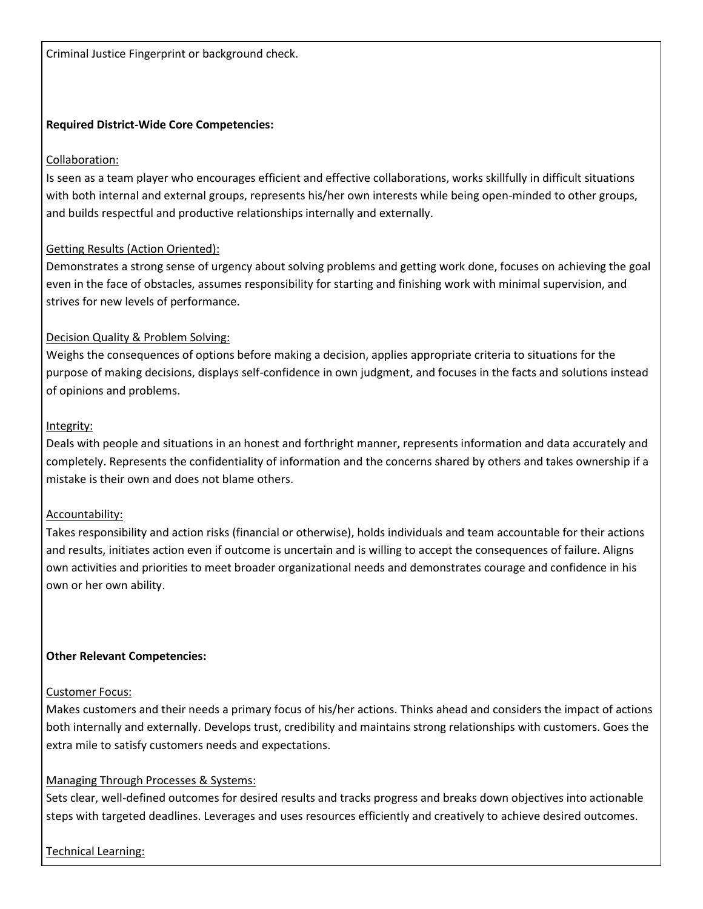Criminal Justice Fingerprint or background check.

## **Required District-Wide Core Competencies:**

## Collaboration:

Is seen as a team player who encourages efficient and effective collaborations, works skillfully in difficult situations with both internal and external groups, represents his/her own interests while being open-minded to other groups, and builds respectful and productive relationships internally and externally.

# Getting Results (Action Oriented):

Demonstrates a strong sense of urgency about solving problems and getting work done, focuses on achieving the goal even in the face of obstacles, assumes responsibility for starting and finishing work with minimal supervision, and strives for new levels of performance.

# Decision Quality & Problem Solving:

Weighs the consequences of options before making a decision, applies appropriate criteria to situations for the purpose of making decisions, displays self-confidence in own judgment, and focuses in the facts and solutions instead of opinions and problems.

### Integrity:

Deals with people and situations in an honest and forthright manner, represents information and data accurately and completely. Represents the confidentiality of information and the concerns shared by others and takes ownership if a mistake is their own and does not blame others.

### Accountability:

Takes responsibility and action risks (financial or otherwise), holds individuals and team accountable for their actions and results, initiates action even if outcome is uncertain and is willing to accept the consequences of failure. Aligns own activities and priorities to meet broader organizational needs and demonstrates courage and confidence in his own or her own ability.

### **Other Relevant Competencies:**

### Customer Focus:

Makes customers and their needs a primary focus of his/her actions. Thinks ahead and considers the impact of actions both internally and externally. Develops trust, credibility and maintains strong relationships with customers. Goes the extra mile to satisfy customers needs and expectations.

# Managing Through Processes & Systems:

Sets clear, well-defined outcomes for desired results and tracks progress and breaks down objectives into actionable steps with targeted deadlines. Leverages and uses resources efficiently and creatively to achieve desired outcomes.

Technical Learning: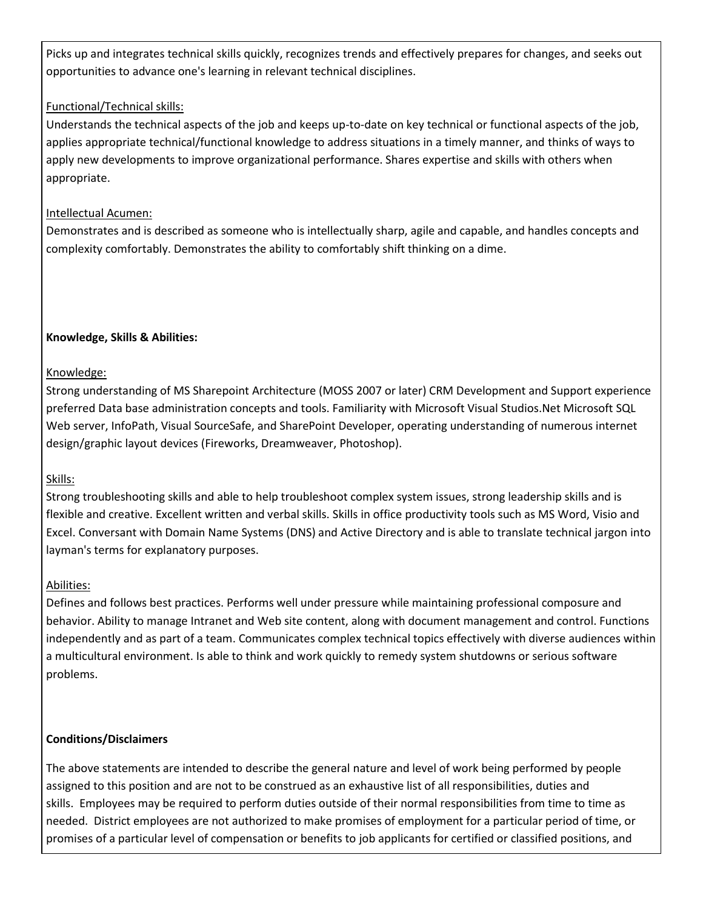Picks up and integrates technical skills quickly, recognizes trends and effectively prepares for changes, and seeks out opportunities to advance one's learning in relevant technical disciplines.

# Functional/Technical skills:

Understands the technical aspects of the job and keeps up-to-date on key technical or functional aspects of the job, applies appropriate technical/functional knowledge to address situations in a timely manner, and thinks of ways to apply new developments to improve organizational performance. Shares expertise and skills with others when appropriate.

# Intellectual Acumen:

Demonstrates and is described as someone who is intellectually sharp, agile and capable, and handles concepts and complexity comfortably. Demonstrates the ability to comfortably shift thinking on a dime.

# **Knowledge, Skills & Abilities:**

# Knowledge:

Strong understanding of MS Sharepoint Architecture (MOSS 2007 or later) CRM Development and Support experience preferred Data base administration concepts and tools. Familiarity with Microsoft Visual Studios.Net Microsoft SQL Web server, InfoPath, Visual SourceSafe, and SharePoint Developer, operating understanding of numerous internet design/graphic layout devices (Fireworks, Dreamweaver, Photoshop).

# Skills:

Strong troubleshooting skills and able to help troubleshoot complex system issues, strong leadership skills and is flexible and creative. Excellent written and verbal skills. Skills in office productivity tools such as MS Word, Visio and Excel. Conversant with Domain Name Systems (DNS) and Active Directory and is able to translate technical jargon into layman's terms for explanatory purposes.

# Abilities:

Defines and follows best practices. Performs well under pressure while maintaining professional composure and behavior. Ability to manage Intranet and Web site content, along with document management and control. Functions independently and as part of a team. Communicates complex technical topics effectively with diverse audiences within a multicultural environment. Is able to think and work quickly to remedy system shutdowns or serious software problems.

# **Conditions/Disclaimers**

The above statements are intended to describe the general nature and level of work being performed by people assigned to this position and are not to be construed as an exhaustive list of all responsibilities, duties and skills. Employees may be required to perform duties outside of their normal responsibilities from time to time as needed. District employees are not authorized to make promises of employment for a particular period of time, or promises of a particular level of compensation or benefits to job applicants for certified or classified positions, and